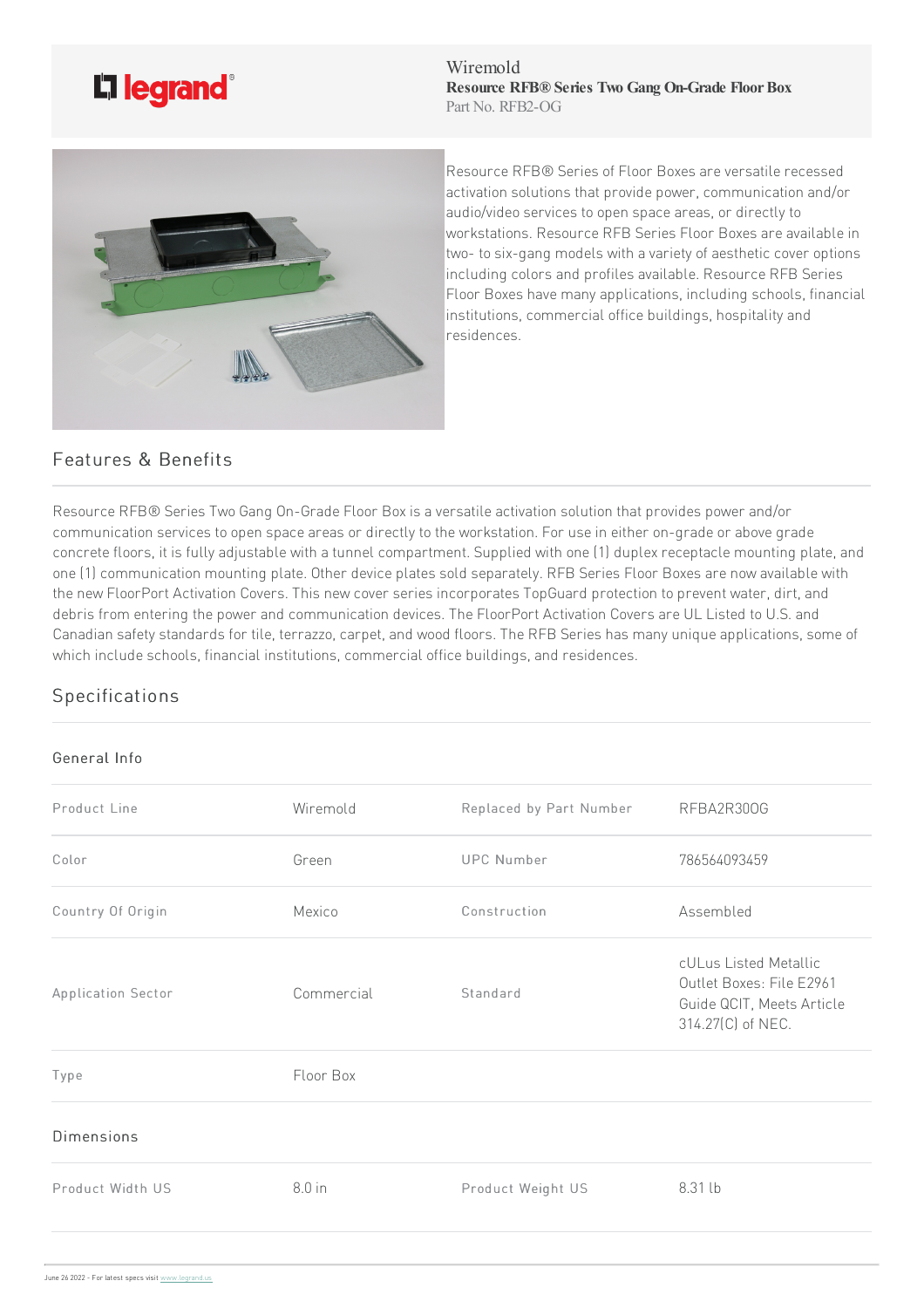

Wiremold **Resource RFB® Series Two Gang On-Grade FloorBox** Part No. RFB2-OG



Resource RFB® Series of Floor Boxes are versatile recessed activation solutions that provide power, communication and/or audio/video services to open space areas, or directly to workstations. Resource RFB Series Floor Boxes are available in two- to six-gang models with a variety of aesthetic cover options including colors and profiles available. Resource RFB Series Floor Boxes have many applications, including schools, financial institutions, commercial office buildings, hospitality and residences.

## Features & Benefits

Resource RFB® Series Two Gang On-Grade Floor Box is a versatile activation solution that provides power and/or communication services to open space areas or directly to the workstation. For use in either on-grade or above grade concrete floors, it is fully adjustable with a tunnel compartment. Supplied with one (1) duplex receptacle mounting plate, and one (1) communication mounting plate. Other device plates sold separately. RFB Series Floor Boxes are now available with the new FloorPort Activation Covers. This new cover series incorporates TopGuard protection to prevent water, dirt, and debris from entering the power and communication devices. The FloorPort Activation Covers are UL Listed to U.S. and Canadian safety standards for tile, terrazzo, carpet, and wood floors. The RFB Series has many unique applications, some of which include schools, financial institutions, commercial office buildings, and residences.

## Specifications

## General Info

| Product Line       | Wiremold   | Replaced by Part Number | RFBA2R300G                                                                                          |
|--------------------|------------|-------------------------|-----------------------------------------------------------------------------------------------------|
| Color              | Green      | <b>UPC Number</b>       | 786564093459                                                                                        |
| Country Of Origin  | Mexico     | Construction            | Assembled                                                                                           |
| Application Sector | Commercial | Standard                | cULus Listed Metallic<br>Outlet Boxes: File E2961<br>Guide QCIT, Meets Article<br>314.27(C) of NEC. |
| Type               | Floor Box  |                         |                                                                                                     |
| <b>Dimensions</b>  |            |                         |                                                                                                     |
| Product Width US   | $8.0$ in   | Product Weight US       | 8.31 lb                                                                                             |
|                    |            |                         |                                                                                                     |